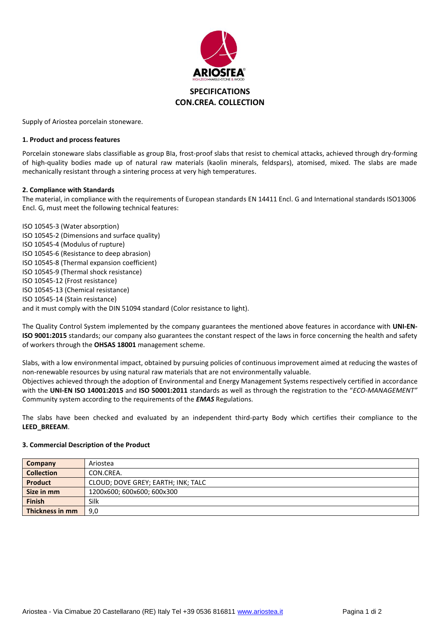

Supply of Ariostea porcelain stoneware.

## **1. Product and process features**

Porcelain stoneware slabs classifiable as group BIa, frost-proof slabs that resist to chemical attacks, achieved through dry-forming of high-quality bodies made up of natural raw materials (kaolin minerals, feldspars), atomised, mixed. The slabs are made mechanically resistant through a sintering process at very high temperatures.

### **2. Compliance with Standards**

The material, in compliance with the requirements of European standards EN 14411 Encl. G and International standards ISO13006 Encl. G, must meet the following technical features:

ISO 10545-3 (Water absorption) ISO 10545-2 (Dimensions and surface quality) ISO 10545-4 (Modulus of rupture) ISO 10545-6 (Resistance to deep abrasion) ISO 10545-8 (Thermal expansion coefficient) ISO 10545-9 (Thermal shock resistance) ISO 10545-12 (Frost resistance) ISO 10545-13 (Chemical resistance) ISO 10545-14 (Stain resistance) and it must comply with the DIN 51094 standard (Color resistance to light).

The Quality Control System implemented by the company guarantees the mentioned above features in accordance with **UNI-EN-ISO 9001:2015** standards; our company also guarantees the constant respect of the laws in force concerning the health and safety of workers through the **OHSAS 18001** management scheme.

Slabs, with a low environmental impact, obtained by pursuing policies of continuous improvement aimed at reducing the wastes of non-renewable resources by using natural raw materials that are not environmentally valuable.

Objectives achieved through the adoption of Environmental and Energy Management Systems respectively certified in accordance with the **UNI-EN ISO 14001:2015** and **ISO 50001:2011** standards as well as through the registration to the "*ECO-MANAGEMENT"* Community system according to the requirements of the *EMAS* Regulations.

The slabs have been checked and evaluated by an independent third-party Body which certifies their compliance to the **LEED\_BREEAM**.

#### **3. Commercial Description of the Product**

| Company           | Ariostea                           |  |  |
|-------------------|------------------------------------|--|--|
| <b>Collection</b> | CON.CREA.                          |  |  |
| <b>Product</b>    | CLOUD; DOVE GREY; EARTH; INK; TALC |  |  |
| Size in mm        | 1200x600; 600x600; 600x300         |  |  |
| <b>Finish</b>     | Silk                               |  |  |
| Thickness in mm   | 9.0                                |  |  |